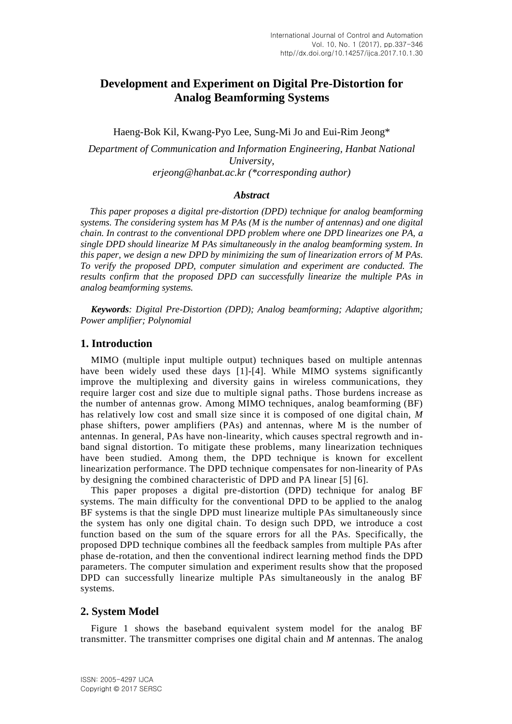# **Development and Experiment on Digital Pre-Distortion for Analog Beamforming Systems**

Haeng-Bok Kil, Kwang-Pyo Lee, Sung-Mi Jo and Eui-Rim Jeong\* *Department of Communication and Information Engineering, Hanbat National University, erjeong@hanbat.ac.kr (\*corresponding author)*

#### *Abstract*

*This paper proposes a digital pre-distortion (DPD) technique for analog beamforming systems. The considering system has M PAs (M is the number of antennas) and one digital chain. In contrast to the conventional DPD problem where one DPD linearizes one PA, a single DPD should linearize M PAs simultaneously in the analog beamforming system. In this paper, we design a new DPD by minimizing the sum of linearization errors of M PAs. To verify the proposed DPD, computer simulation and experiment are conducted. The results confirm that the proposed DPD can successfully linearize the multiple PAs in analog beamforming systems.*

*Keywords: Digital Pre-Distortion (DPD); Analog beamforming; Adaptive algorithm; Power amplifier; Polynomial*

### **1. Introduction**

MIMO (multiple input multiple output) techniques based on multiple antennas have been widely used these days [1]-[4]. While MIMO systems significantly improve the multiplexing and diversity gains in wireless communications, they require larger cost and size due to multiple signal paths. Those burdens increase as the number of antennas grow. Among MIMO techniques, analog beamforming (BF) has relatively low cost and small size since it is composed of one digital chain, *M* phase shifters, power amplifiers (PAs) and antennas, where M is the number of antennas. In general, PAs have non-linearity, which causes spectral regrowth and inband signal distortion. To mitigate these problems, many linearization techniques have been studied. Among them, the DPD technique is known for excellent linearization performance. The DPD technique compensates for non-linearity of PAs by designing the combined characteristic of DPD and PA linear [5] [6].

This paper proposes a digital pre-distortion (DPD) technique for analog BF systems. The main difficulty for the conventional DPD to be applied to the analog BF systems is that the single DPD must linearize multiple PAs simultaneously since the system has only one digital chain. To design such DPD, we introduce a cost function based on the sum of the square errors for all the PAs. Specifically, the proposed DPD technique combines all the feedback samples from multiple PAs after phase de-rotation, and then the conventional indirect learning method finds the DPD parameters. The computer simulation and experiment results show that the proposed DPD can successfully linearize multiple PAs simultaneously in the analog BF systems.

#### **2. System Model**

Figure 1 shows the baseband equivalent system model for the analog BF transmitter. The transmitter comprises one digital chain and *M* antennas. The analog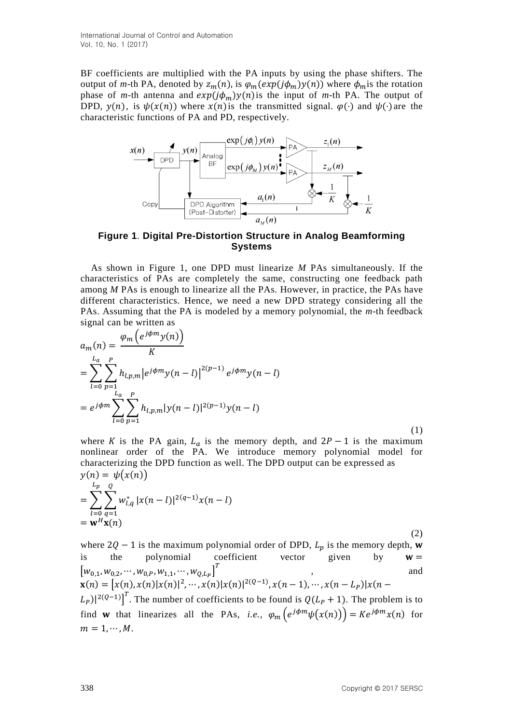BF coefficients are multiplied with the PA inputs by using the phase shifters. The output of *m*-th PA, denoted by  $z_m(n)$ , is  $\varphi_m(exp(j\phi_m)y(n))$  where  $\varphi_m$  is the rotation phase of *m*-th antenna and  $exp(j\phi_m)y(n)$  is the input of *m*-th PA. The output of DPD,  $y(n)$ , is  $\psi(x(n))$  where  $x(n)$  is the transmitted signal.  $\varphi(\cdot)$  and  $\psi(\cdot)$  are the characteristic functions of PA and PD, respectively.



**Figure 1**. **Digital Pre-Distortion Structure in Analog Beamforming Systems**

As shown in Figure 1, one DPD must linearize *M* PAs simultaneously. If the characteristics of PAs are completely the same, constructing one feedback path among *M* PAs is enough to linearize all the PAs. However, in practice, the PAs have different characteristics. Hence, we need a new DPD strategy considering all the PAs. Assuming that the PA is modeled by a memory polynomial, the *m*-th feedback signal can be written as

$$
a_m(n) = \frac{\varphi_m \left(e^{j\phi m} y(n)\right)}{K}
$$
  
= 
$$
\sum_{l=0}^{L_a} \sum_{p=1}^p h_{l,p,m} \left| e^{j\phi m} y(n-l) \right|^{2(p-1)} e^{j\phi m} y(n-l)
$$
  
= 
$$
e^{j\phi m} \sum_{l=0}^N \sum_{p=1}^p h_{l,p,m} |y(n-l)|^{2(p-1)} y(n-l)
$$
 (1)

where K is the PA gain,  $L_a$  is the memory depth, and  $2P - 1$  is the maximum nonlinear order of the PA. We introduce memory polynomial model for characterizing the DPD function as well. The DPD output can be expressed as  $y(n) = \psi(x(n))$ 

$$
= \sum_{l=0}^{L_p} \sum_{q=1}^{Q} w_{l,q}^* |x(n-l)|^{2(q-1)} x(n-l)
$$
  
=  $\mathbf{w}^H \mathbf{x}(n)$ 

(2) where  $2Q - 1$  is the maximum polynomial order of DPD,  $L_p$  is the memory depth, is the polynomial coefficient vector given by  $w =$  $\left[w_{0,1},w_{0,2},\cdots,w_{0,P},w_{1,1},\cdots,w_{Q,L_P}\right]^T\hspace{2cm},\hspace{2cm}\text{and}\hspace{2cm}$  $\mathbf{x}(n) = [x(n), x(n)|x(n)|^2, \cdots, x(n)|x(n)|^{2(Q-1)}, x(n-1), \cdots, x(n-L_P)|x(n-1)|$  $(L_P)|^{2(Q-1)}$ <sup>T</sup>. The number of coefficients to be found is  $Q(L_P + 1)$ . The problem is to find **w** that linearizes all the PAs, *i.e.*,  $\varphi_m\left(e^{j\phi_m}\psi(x(n))\right) = Ke^{j\phi_m}x(n)$  for  $m = 1, \cdots, M$ .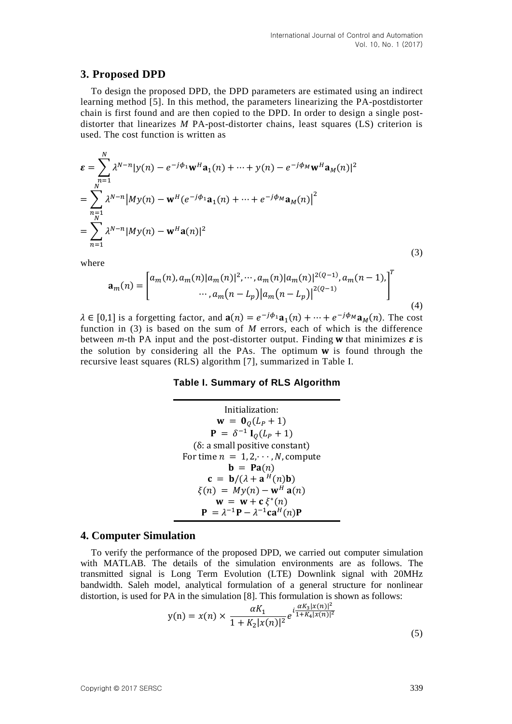### **3. Proposed DPD**

To design the proposed DPD, the DPD parameters are estimated using an indirect learning method [5]. In this method, the parameters linearizing the PA-postdistorter chain is first found and are then copied to the DPD. In order to design a single postdistorter that linearizes *M* PA-post-distorter chains, least squares (LS) criterion is used. The cost function is written as

$$
\varepsilon = \sum_{\substack{n=1 \ n \neq n}}^{N} \lambda^{N-n} |y(n) - e^{-j\phi_1} \mathbf{w}^H \mathbf{a}_1(n) + \dots + y(n) - e^{-j\phi_M} \mathbf{w}^H \mathbf{a}_M(n)|^2
$$
  
\n
$$
= \sum_{\substack{n=1 \ n \neq n}}^{N} \lambda^{N-n} |My(n) - \mathbf{w}^H (e^{-j\phi_1} \mathbf{a}_1(n) + \dots + e^{-j\phi_M} \mathbf{a}_M(n)|^2
$$
  
\n
$$
= \sum_{n=1}^{N} \lambda^{N-n} |My(n) - \mathbf{w}^H \mathbf{a}(n)|^2
$$
\n(3)

where

$$
\mathbf{a}_{m}(n) = \begin{bmatrix} a_{m}(n), a_{m}(n) | a_{m}(n) | ^{2}, \cdots, a_{m}(n) | a_{m}(n) | ^{2(Q-1)}, a_{m}(n-1), \\ \cdots, a_{m}(n-L_{p}) | a_{m}(n-L_{p}) | ^{2(Q-1)} \end{bmatrix}^{T}
$$
\n(4)

 $\lambda \in [0,1]$  is a forgetting factor, and  $\mathbf{a}(n) = e^{-j\phi_1} \mathbf{a}_1(n) + \cdots + e^{-j\phi_M} \mathbf{a}_M(n)$ . The cost function in (3) is based on the sum of *M* errors, each of which is the difference between *m*-th PA input and the post-distorter output. Finding **w** that minimizes  $\boldsymbol{\varepsilon}$  is the solution by considering all the PAs. The optimum  $w$  is found through the recursive least squares (RLS) algorithm [7], summarized in Table I.

#### **Table I. Summary of RLS Algorithm**

Initialization:  $w = 0_0(L_P + 1)$  ${\bf P} = \delta^{-1} {\bf I}_Q (L_P +$  $(\delta: a small positive constant)$ For time  $n = 1, 2, \cdots, N$ , compute  $\mathbf{b} = \mathbf{Pa}(n)$  $c = b/(\lambda + a^H)$  $\xi(n) = My(n) - \mathbf{w}^H \mathbf{a}(n)$  $w = w + c \xi^*$  $\mathbf{P} = \lambda^{-1} \mathbf{P} - \lambda^{-1} \mathbf{C}$ 

#### **4. Computer Simulation**

To verify the performance of the proposed DPD, we carried out computer simulation with MATLAB. The details of the simulation environments are as follows. The transmitted signal is Long Term Evolution (LTE) Downlink signal with 20MHz bandwidth. Saleh model, analytical formulation of a general structure for nonlinear distortion, is used for PA in the simulation [8]. This formulation is shown as follows:

$$
y(n) = x(n) \times \frac{\alpha K_1}{1 + K_2 |x(n)|^2} e^{i \frac{\alpha K_3 |x(n)|^2}{1 + K_4 |x(n)|^2}}
$$
\n(5)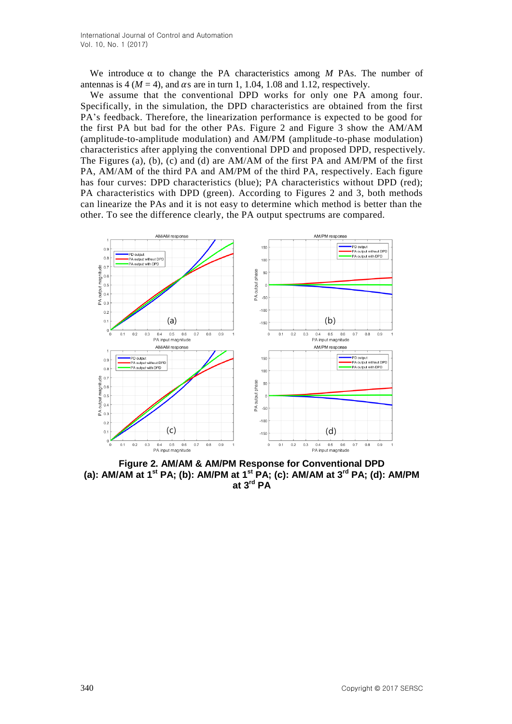International Journal of Control and Automation Vol. 10, No. 1 (2017)

We introduce  $\alpha$  to change the PA characteristics among *M* PAs. The number of antennas is 4 ( $M = 4$ ), and  $\alpha$ s are in turn 1, 1.04, 1.08 and 1.12, respectively.

We assume that the conventional DPD works for only one PA among four. Specifically, in the simulation, the DPD characteristics are obtained from the first PA's feedback. Therefore, the linearization performance is expected to be good for the first PA but bad for the other PAs. Figure 2 and Figure 3 show the AM/AM (amplitude-to-amplitude modulation) and AM/PM (amplitude-to-phase modulation) characteristics after applying the conventional DPD and proposed DPD, respectively. The Figures (a), (b), (c) and (d) are AM/AM of the first PA and AM/PM of the first PA, AM/AM of the third PA and AM/PM of the third PA, respectively. Each figure has four curves: DPD characteristics (blue); PA characteristics without DPD (red); PA characteristics with DPD (green). According to Figures 2 and 3, both methods can linearize the PAs and it is not easy to determine which method is better than the other. To see the difference clearly, the PA output spectrums are compared.



**Figure 2. AM/AM & AM/PM Response for Conventional DPD (a): AM/AM at 1 st PA; (b): AM/PM at 1st PA; (c): AM/AM at 3 rd PA; (d): AM/PM at 3rd PA**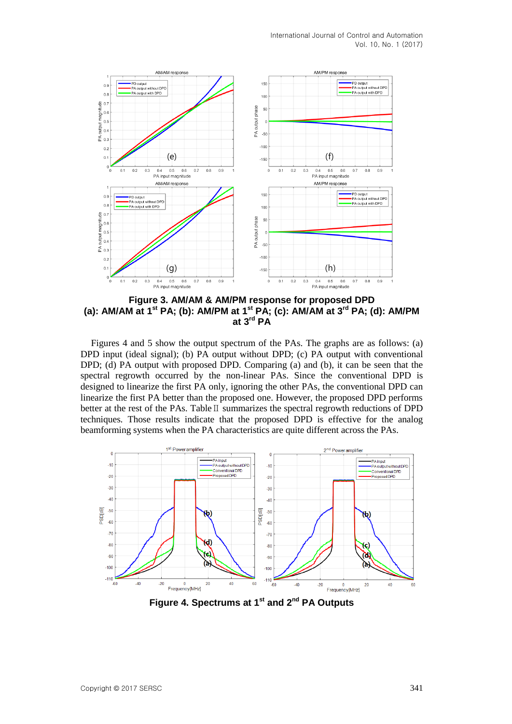International Journal of Control and Automation Vol. 10, No. 1 (2017)



**Figure 3. AM/AM & AM/PM response for proposed DPD (a): AM/AM at 1st PA; (b): AM/PM at 1st PA; (c): AM/AM at 3rd PA; (d): AM/PM at 3rd PA**

Figures 4 and 5 show the output spectrum of the PAs. The graphs are as follows: (a) DPD input (ideal signal); (b) PA output without DPD; (c) PA output with conventional DPD; (d) PA output with proposed DPD. Comparing (a) and (b), it can be seen that the spectral regrowth occurred by the non-linear PAs. Since the conventional DPD is designed to linearize the first PA only, ignoring the other PAs, the conventional DPD can linearize the first PA better than the proposed one. However, the proposed DPD performs better at the rest of the PAs. Table  $II$  summarizes the spectral regrowth reductions of DPD techniques. Those results indicate that the proposed DPD is effective for the analog beamforming systems when the PA characteristics are quite different across the PAs.



**Figure 4. Spectrums at 1st and 2nd PA Outputs**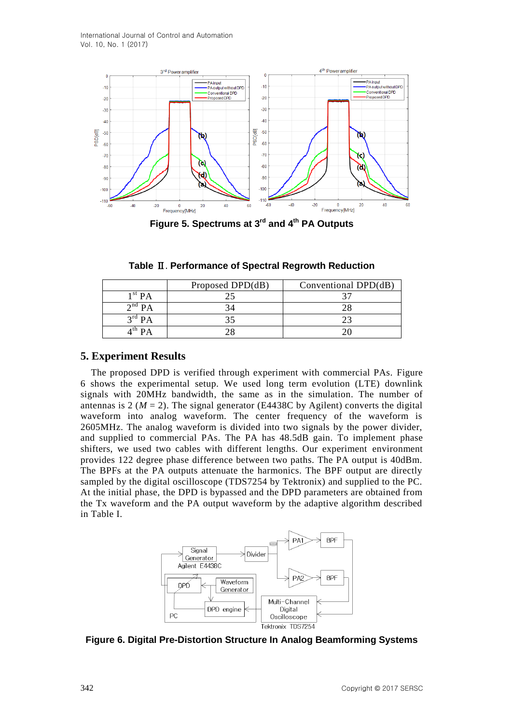

**Figure 5. Spectrums at 3 rd and 4th PA Outputs**

| Table II. Performance of Spectral Regrowth Reduction |  |
|------------------------------------------------------|--|
|                                                      |  |

|                                    | Proposed DPD(dB) | Conventional DPD(dB) |
|------------------------------------|------------------|----------------------|
| $1^{\rm \scriptscriptstyle St}$ PA |                  |                      |
| $\gamma^{\text{nd}}$ PA            |                  |                      |
| $3^{\rm rd}$ PA                    |                  |                      |
|                                    |                  |                      |

## **5. Experiment Results**

The proposed DPD is verified through experiment with commercial PAs. Figure 6 shows the experimental setup. We used long term evolution (LTE) downlink signals with 20MHz bandwidth, the same as in the simulation. The number of antennas is 2 ( $M = 2$ ). The signal generator (E4438C by Agilent) converts the digital waveform into analog waveform. The center frequency of the waveform is 2605MHz. The analog waveform is divided into two signals by the power divider, and supplied to commercial PAs. The PA has 48.5dB gain. To implement phase shifters, we used two cables with different lengths. Our experiment environment provides 122 degree phase difference between two paths. The PA output is 40dBm. The BPFs at the PA outputs attenuate the harmonics. The BPF output are directly sampled by the digital oscilloscope (TDS7254 by Tektronix) and supplied to the PC. At the initial phase, the DPD is bypassed and the DPD parameters are obtained from the Tx waveform and the PA output waveform by the adaptive algorithm described in Table I.



**Figure 6. Digital Pre-Distortion Structure In Analog Beamforming Systems**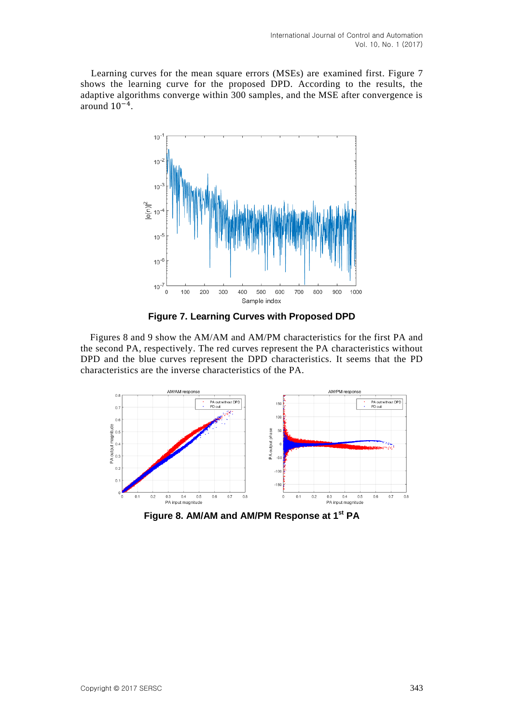Learning curves for the mean square errors (MSEs) are examined first. Figure 7 shows the learning curve for the proposed DPD. According to the results, the adaptive algorithms converge within 300 samples, and the MSE after convergence is around  $10^{-4}$ .



**Figure 7. Learning Curves with Proposed DPD**

Figures 8 and 9 show the AM/AM and AM/PM characteristics for the first PA and the second PA, respectively. The red curves represent the PA characteristics without DPD and the blue curves represent the DPD characteristics. It seems that the PD characteristics are the inverse characteristics of the PA.



**Figure 8. AM/AM and AM/PM Response at 1st PA**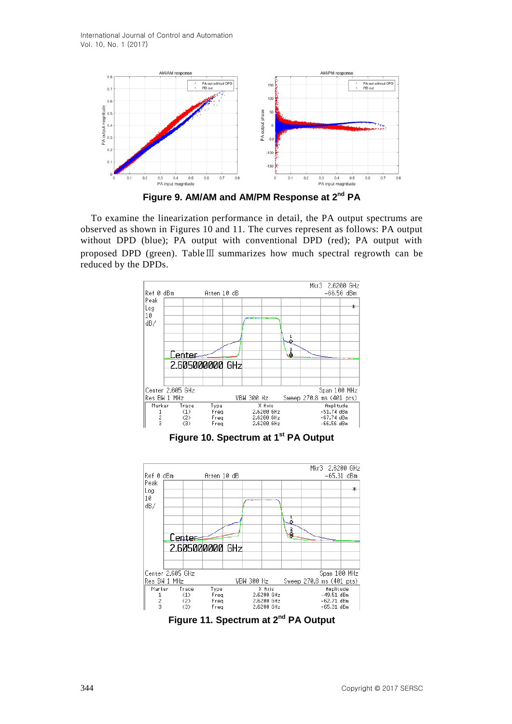

**Figure 9. AM/AM and AM/PM Response at 2nd PA**

To examine the linearization performance in detail, the PA output spectrums are observed as shown in Figures 10 and 11. The curves represent as follows: PA output without DPD (blue); PA output with conventional DPD (red); PA output with proposed DPD (green). TableⅢ summarizes how much spectral regrowth can be reduced by the DPDs.



**Figure 10. Spectrum at 1st PA Output**



**Figure 11. Spectrum at 2nd PA Output**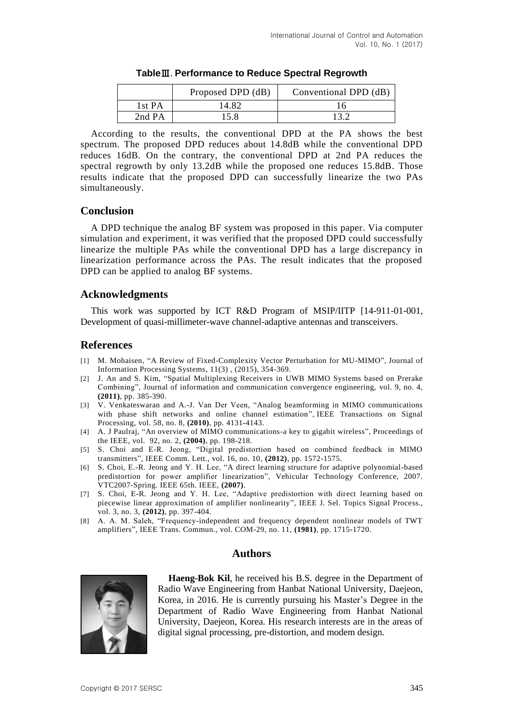|        | Proposed DPD (dB) | Conventional DPD (dB) |
|--------|-------------------|-----------------------|
| 1st PA | 14.82             |                       |
| 2nd PA | 15 X              |                       |

**Table Performance to Reduce Spectral Regrowth**

According to the results, the conventional DPD at the PA shows the best spectrum. The proposed DPD reduces about 14.8dB while the conventional DPD reduces 16dB. On the contrary, the conventional DPD at 2nd PA reduces the spectral regrowth by only 13.2dB while the proposed one reduces 15.8dB. Those results indicate that the proposed DPD can successfully linearize the two PAs simultaneously.

## **Conclusion**

A DPD technique the analog BF system was proposed in this paper. Via computer simulation and experiment, it was verified that the proposed DPD could successfully linearize the multiple PAs while the conventional DPD has a large discrepancy in linearization performance across the PAs. The result indicates that the proposed DPD can be applied to analog BF systems.

### **Acknowledgments**

This work was supported by ICT R&D Program of MSIP/IITP [14-911-01-001, Development of quasi-millimeter-wave channel-adaptive antennas and transceivers.

### **References**

- [1] M. Mohaisen, "A Review of Fixed-Complexity Vector Perturbation for MU-MIMO", Journal of Information Processing Systems, 11(3) , (2015), 354-369.
- [2] J. An and S. Kim, "Spatial Multiplexing Receivers in UWB MIMO Systems based on Prerake Combining", Journal of information and communication convergence engineering, vol. 9, no. 4, **(2011)**, pp. 385-390.
- [3] V. Venkateswaran and A.-J. Van Der Veen, "Analog beamforming in MIMO communications with phase shift networks and online channel estimation", IEEE Transactions on Signal Processing, vol. 58, no. 8, **(2010)**, pp. 4131-4143.
- [4] A. J Paulraj, "An overview of MIMO communications-a key to gigabit wireless", Proceedings of the IEEE, vol. 92, no. 2, **(2004)**, pp. 198-218.
- [5] S. Choi and E-R. Jeong, "Digital predistortion based on combined feedback in MIMO transmitters", IEEE Comm. Lett., vol. 16, no. 10, **(2012)**, pp. 1572-1575.
- [6] S. Choi, E.-R. Jeong and Y. H. Lee, "A direct learning structure for adaptive polynomial-based predistortion for power amplifier linearization", Vehicular Technology Conference, 2007. VTC2007-Spring. IEEE 65th. IEEE, **(2007)**.
- [7] S. Choi, E-R. Jeong and Y. H. Lee, "Adaptive predistortion with direct learning based on piecewise linear approximation of amplifier nonlinearity", IEEE J. Sel. Topics Signal Process., vol. 3, no. 3, **(2012)**, pp. 397-404.
- [8] A. A. M. Saleh, "Frequency-independent and frequency dependent nonlinear models of TWT amplifiers", IEEE Trans. Commun., vol. COM-29, no. 11, **(1981)**, pp. 1715-1720.

### **Authors**



**Haeng-Bok Kil**, he received his B.S. degree in the Department of Radio Wave Engineering from Hanbat National University, Daejeon, Korea, in 2016. He is currently pursuing his Master's Degree in the Department of Radio Wave Engineering from Hanbat National University, Daejeon, Korea. His research interests are in the areas of digital signal processing, pre-distortion, and modem design.